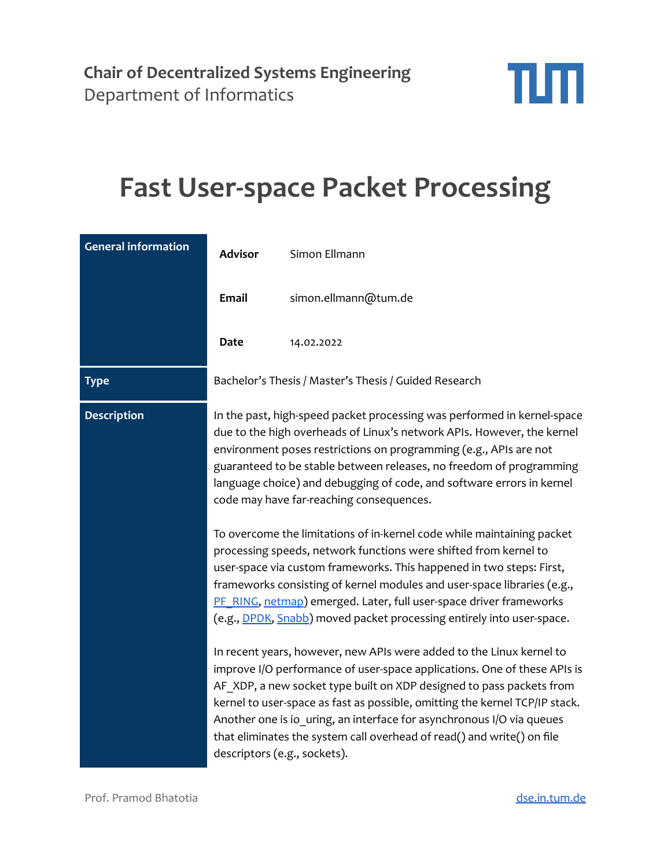

## **Fast User-space Packet Processing**

| <b>General information</b> | <b>Advisor</b>                                                                                                                                                                                                                                                                                                                                                                                                     | Simon Ellmann                                                                                                                                                                                                                                                                                                                                                                                                                                                |
|----------------------------|--------------------------------------------------------------------------------------------------------------------------------------------------------------------------------------------------------------------------------------------------------------------------------------------------------------------------------------------------------------------------------------------------------------------|--------------------------------------------------------------------------------------------------------------------------------------------------------------------------------------------------------------------------------------------------------------------------------------------------------------------------------------------------------------------------------------------------------------------------------------------------------------|
|                            | <b>Email</b>                                                                                                                                                                                                                                                                                                                                                                                                       | simon.ellmann@tum.de                                                                                                                                                                                                                                                                                                                                                                                                                                         |
|                            | Date                                                                                                                                                                                                                                                                                                                                                                                                               | 14.02.2022                                                                                                                                                                                                                                                                                                                                                                                                                                                   |
| <b>Type</b>                |                                                                                                                                                                                                                                                                                                                                                                                                                    | Bachelor's Thesis / Master's Thesis / Guided Research                                                                                                                                                                                                                                                                                                                                                                                                        |
| <b>Description</b>         | In the past, high-speed packet processing was performed in kernel-space<br>due to the high overheads of Linux's network APIs. However, the kernel<br>environment poses restrictions on programming (e.g., APIs are not<br>guaranteed to be stable between releases, no freedom of programming<br>language choice) and debugging of code, and software errors in kernel<br>code may have far-reaching consequences. |                                                                                                                                                                                                                                                                                                                                                                                                                                                              |
|                            |                                                                                                                                                                                                                                                                                                                                                                                                                    | To overcome the limitations of in-kernel code while maintaining packet<br>processing speeds, network functions were shifted from kernel to<br>user-space via custom frameworks. This happened in two steps: First,<br>frameworks consisting of kernel modules and user-space libraries (e.g.,<br>PF RING, netmap) emerged. Later, full user-space driver frameworks<br>(e.g., <b>DPDK</b> , <b>Snabb</b> ) moved packet processing entirely into user-space. |
|                            | descriptors (e.g., sockets).                                                                                                                                                                                                                                                                                                                                                                                       | In recent years, however, new APIs were added to the Linux kernel to<br>improve I/O performance of user-space applications. One of these APIs is<br>AF XDP, a new socket type built on XDP designed to pass packets from<br>kernel to user-space as fast as possible, omitting the kernel TCP/IP stack.<br>Another one is io_uring, an interface for asynchronous I/O via queues<br>that eliminates the system call overhead of read() and write() on file   |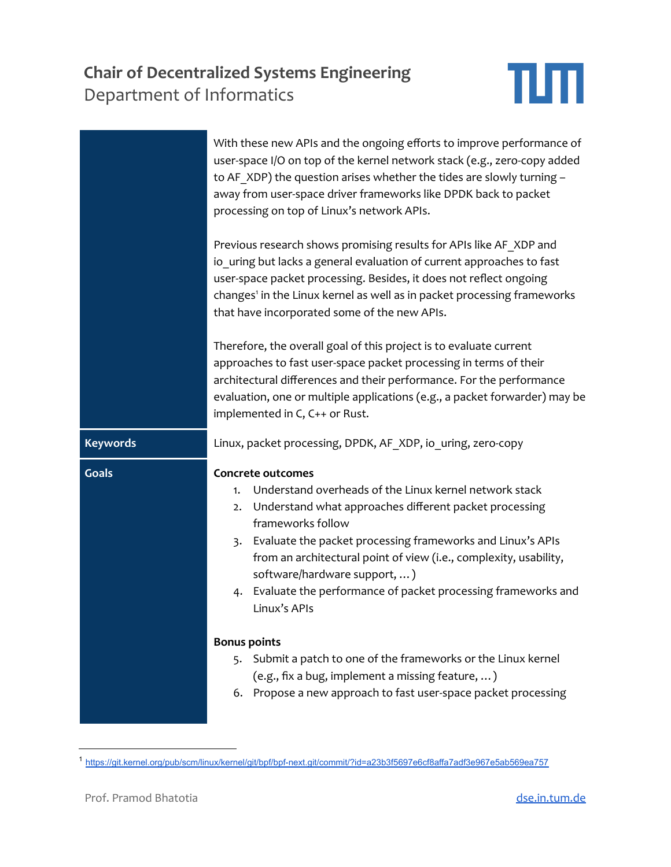## **Chair of [Decentralized](https://dse.in.tum.de/) Systems Engineeri** [Department](https://www.in.tum.de/) of Informatics

| alized Systems Engineering<br>nformatics                                                                                                                                                                                                                                                                                                    | 41 E E E |
|---------------------------------------------------------------------------------------------------------------------------------------------------------------------------------------------------------------------------------------------------------------------------------------------------------------------------------------------|----------|
| With these new APIs and the ongoing efforts to improve performance of<br>user-space I/O on top of the kernel network stack (e.g., zero-copy added<br>to AF XDP) the question arises whether the tides are slowly turning -<br>away from user-space driver frameworks like DPDK back to packet<br>processing on top of Linux's network APIs. |          |

Previous research shows promising results for APIs like AF\_XDP and io uring but lacks a general evaluation of current approaches to fast user-space packet processing. Besides, it does not reflect ongoing changes 1 in the Linux kernel as well as in packet processing frameworks that have incorporated some of the new APIs.

Therefore, the overall goal of this project is to evaluate current approaches to fast user-space packet processing in terms of their architectural differences and their performance. For the performance evaluation, one or multiple applications (e.g., a packet forwarder) may be implemented in C, C++ or Rust.

**Keywords** Linux, packet processing, DPDK, AF\_XDP, io\_uring, zero-copy

| <b>Goals</b> | Concrete outcomes<br>Understand overheads of the Linux kernel network stack<br>1.<br>Understand what approaches different packet processing<br>2.<br>frameworks follow<br>Evaluate the packet processing frameworks and Linux's APIs<br>3.<br>from an architectural point of view (i.e., complexity, usability,<br>software/hardware support, )<br>4. Evaluate the performance of packet processing frameworks and<br>Linux's APIs |
|--------------|------------------------------------------------------------------------------------------------------------------------------------------------------------------------------------------------------------------------------------------------------------------------------------------------------------------------------------------------------------------------------------------------------------------------------------|
|              | <b>Bonus points</b><br>5. Submit a patch to one of the frameworks or the Linux kernel<br>(e.g., fix a bug, implement a missing feature, )<br>6. Propose a new approach to fast user-space packet processing                                                                                                                                                                                                                        |

<sup>1</sup> <https://git.kernel.org/pub/scm/linux/kernel/git/bpf/bpf-next.git/commit/?id=a23b3f5697e6cf8affa7adf3e967e5ab569ea757>